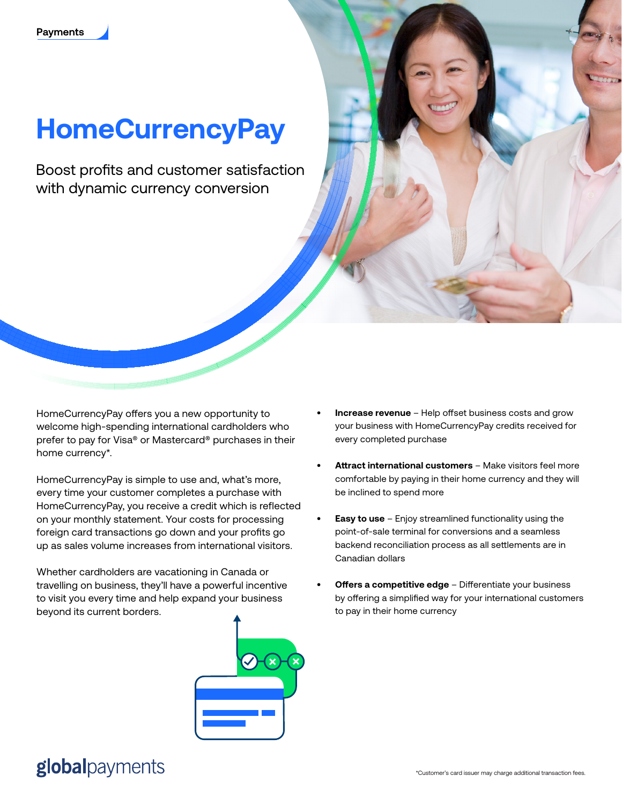# **HomeCurrencyPay**

Boost profits and customer satisfaction with dynamic currency conversion

HomeCurrencyPay offers you a new opportunity to welcome high-spending international cardholders who prefer to pay for Visa® or Mastercard® purchases in their home currency\*.

HomeCurrencyPay is simple to use and, what's more, every time your customer completes a purchase with HomeCurrencyPay, you receive a credit which is reflected on your monthly statement. Your costs for processing foreign card transactions go down and your profits go up as sales volume increases from international visitors.

Whether cardholders are vacationing in Canada or travelling on business, they'll have a powerful incentive to visit you every time and help expand your business beyond its current borders.



- **• Increase revenue** Help offset business costs and grow your business with HomeCurrencyPay credits received for every completed purchase
- **• Attract international customers** Make visitors feel more comfortable by paying in their home currency and they will be inclined to spend more
- **Easy to use** Enjoy streamlined functionality using the point-of-sale terminal for conversions and a seamless backend reconciliation process as all settlements are in Canadian dollars
- **Offers a competitive edge** Differentiate your business by offering a simplified way for your international customers to pay in their home currency

## globalpayments